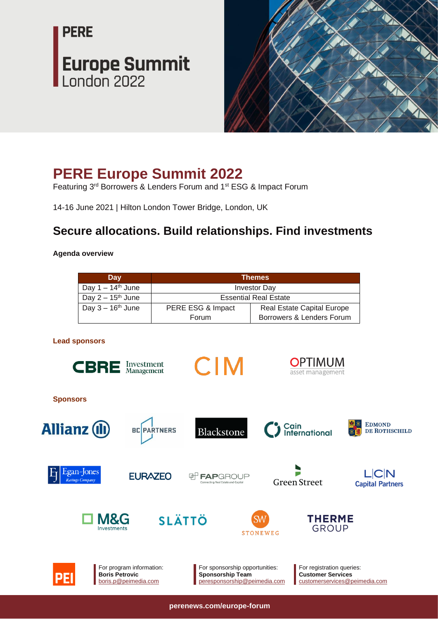



## **PERE Europe Summit 2022**

Featuring 3<sup>rd</sup> Borrowers & Lenders Forum and 1<sup>st</sup> ESG & Impact Forum

14-16 June 2021 | Hilton London Tower Bridge, London, UK

### **Secure allocations. Build relationships. Find investments**

**Agenda overview** 

| Day                             | <b>Themes</b>                |                                   |
|---------------------------------|------------------------------|-----------------------------------|
| Day $1 - 14$ <sup>th</sup> June | <b>Investor Day</b>          |                                   |
| Day $2 - 15$ <sup>th</sup> June | <b>Essential Real Estate</b> |                                   |
| Day $3 - 16$ <sup>th</sup> June | PERE ESG & Impact            | <b>Real Estate Capital Europe</b> |
|                                 | Forum                        | Borrowers & Lenders Forum         |

**Lead sponsors**

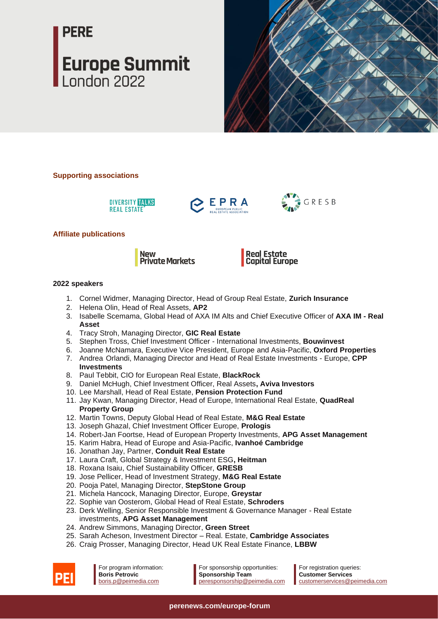



#### **Supporting associations**

**DIVERSITY TALKS REAL ESTATE** 





#### **Affiliate publications**





#### **2022 speakers**

- 1. Cornel Widmer, Managing Director, Head of Group Real Estate, **Zurich Insurance**
- 2. Helena Olin, Head of Real Assets, **AP2**
- 3. Isabelle Scemama, Global Head of AXA IM Alts and Chief Executive Officer of **AXA IM - Real Asset**
- 4. Tracy Stroh, Managing Director, **GIC Real Estate**
- 5. Stephen Tross, Chief Investment Officer International Investments, **Bouwinvest**
- 6. Joanne McNamara, Executive Vice President, Europe and Asia-Pacific, **Oxford Properties**
- 7. Andrea Orlandi, Managing Director and Head of Real Estate Investments Europe, **CPP Investments**
- 8. Paul Tebbit, CIO for European Real Estate, **BlackRock**
- 9. Daniel McHugh, Chief Investment Officer, Real Assets**, Aviva Investors**
- 10. Lee Marshall, Head of Real Estate, **Pension Protection Fund**
- 11. Jay Kwan, Managing Director, Head of Europe, International Real Estate, **QuadReal Property Group**
- 12. Martin Towns, Deputy Global Head of Real Estate, **M&G Real Estate**
- 13. Joseph Ghazal, Chief Investment Officer Europe, **Prologis**
- 14. Robert-Jan Foortse, Head of European Property Investments, **APG Asset Management**
- 15. Karim Habra, Head of Europe and Asia-Pacific, **Ivanhoé Cambridge**
- 16. Jonathan Jay, Partner, **Conduit Real Estate**
- 17. Laura Craft, Global Strategy & Investment ESG**, Heitman**
- 18. Roxana Isaiu, Chief Sustainability Officer, **GRESB**
- 19. Jose Pellicer, Head of Investment Strategy, **M&G Real Estate**
- 20. Pooja Patel, Managing Director, **StepStone Group**
- 21. Michela Hancock, Managing Director, Europe, **Greystar**
- 22. Sophie van Oosterom, Global Head of Real Estate, **Schroders**
- 23. Derk Welling, Senior Responsible Investment & Governance Manager Real Estate investments, **APG Asset Management**
- 24. Andrew Simmons, Managing Director, **Green Street**
- 25. Sarah Acheson, Investment Director Real. Estate, **Cambridge Associates**
- 26. Craig Prosser, Managing Director, Head UK Real Estate Finance, **LBBW**



For sponsorship opportunities: **Sponsorship Team** peresponsorship@peimedia.com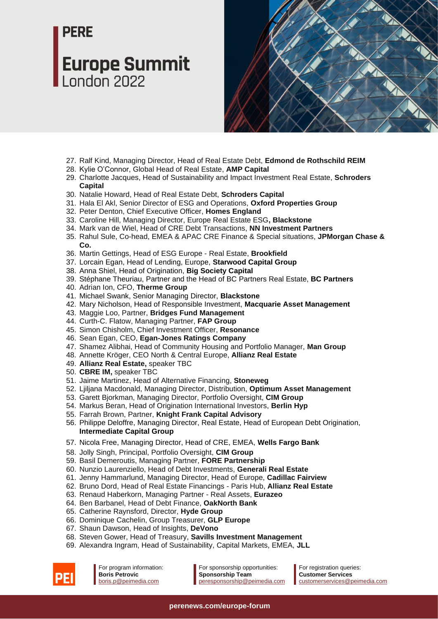

- 27. Ralf Kind, Managing Director, Head of Real Estate Debt, **Edmond de Rothschild REIM**
- 28. Kylie O'Connor, Global Head of Real Estate, **AMP Capital**
- 29. Charlotte Jacques, Head of Sustainability and Impact Investment Real Estate, **Schroders Capital**
- 30. Natalie Howard, Head of Real Estate Debt, **Schroders Capital**
- 31. Hala El Akl, Senior Director of ESG and Operations, **Oxford Properties Group**
- 32. Peter Denton, Chief Executive Officer, **Homes England**
- 33. Caroline Hill, Managing Director, Europe Real Estate ESG**, Blackstone**
- 34. Mark van de Wiel, Head of CRE Debt Transactions, **NN Investment Partners**
- 35. Rahul Sule, Co-head, EMEA & APAC CRE Finance & Special situations, **JPMorgan Chase & Co.**
- 36. Martin Gettings, Head of ESG Europe Real Estate, **Brookfield**
- 37. Lorcain Egan, Head of Lending, Europe, **Starwood Capital Group**
- 38. Anna Shiel, Head of Origination, **Big Society Capital**
- 39. Stéphane Theuriau, Partner and the Head of BC Partners Real Estate, **BC Partners**
- 40. Adrian Ion, CFO, **Therme Group**
- 41. Michael Swank, Senior Managing Director, **Blackstone**
- 42. Mary Nicholson, Head of Responsible Investment, **Macquarie Asset Management**
- 43. Maggie Loo, Partner, **Bridges Fund Management**
- 44. Curth-C. Flatow, Managing Partner, **FAP Group**
- 45. Simon Chisholm, Chief Investment Officer, **Resonance**
- 46. Sean Egan, CEO, **Egan-Jones Ratings Company**
- 47. Shamez Alibhai, Head of Community Housing and Portfolio Manager, **Man Group**
- 48. Annette Kröger, CEO North & Central Europe, **Allianz Real Estate**
- 49. **Allianz Real Estate,** speaker TBC
- 50. **CBRE IM,** speaker TBC
- 51. Jaime Martinez, Head of Alternative Financing, **Stoneweg**
- 52. Ljiljana Macdonald, Managing Director, Distribution, **Optimum Asset Management**
- 53. Garett Bjorkman, Managing Director, Portfolio Oversight, **CIM Group**
- 54. Markus Beran, Head of Origination International Investors, **Berlin Hyp**
- 55. Farrah Brown, Partner, **Knight Frank Capital Advisory**
- 56. Philippe Deloffre, Managing Director, Real Estate, Head of European Debt Origination, **Intermediate Capital Group**
- 57. Nicola Free, Managing Director, Head of CRE, EMEA, **Wells Fargo Bank**
- 58. Jolly Singh, Principal, Portfolio Oversight, **CIM Group**
- 59. Basil Demeroutis, Managing Partner, **FORE Partnership**
- 60. Nunzio Laurenziello, Head of Debt Investments, **Generali Real Estate**
- 61. Jenny Hammarlund, Managing Director, Head of Europe, **Cadillac Fairview**
- 62. Bruno Dord, Head of Real Estate Financings Paris Hub, **Allianz Real Estate**
- 63. Renaud Haberkorn, Managing Partner Real Assets, **Eurazeo**
- 64. Ben Barbanel, Head of Debt Finance, **OakNorth Bank**
- 65. Catherine Raynsford, Director, **Hyde Group**
- 66. Dominique Cachelin, Group Treasurer, **GLP Europe**
- 67. Shaun Dawson, Head of Insights, **DeVono**
- 68. Steven Gower, Head of Treasury, **Savills Investment Management**
- 69. Alexandra Ingram, Head of Sustainability, Capital Markets, EMEA, **JLL**



For program information: **Boris Petrovic** [boris.p@peimedia.com](mailto:boris.p@peimedia.com)

For sponsorship opportunities: **Sponsorship Team** peresponsorship@peimedia.com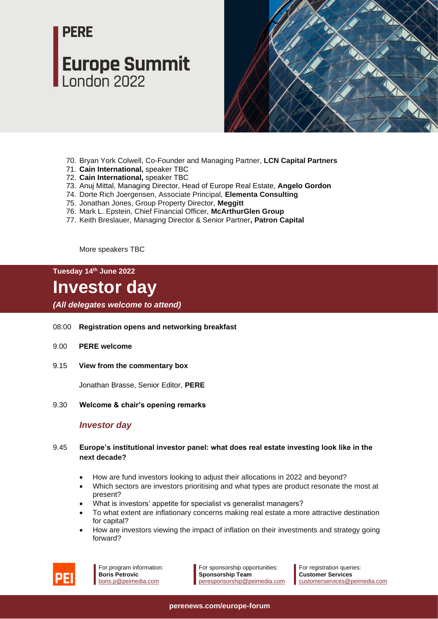

- 70. Bryan York Colwell, Co-Founder and Managing Partner, **LCN Capital Partners**
- 71. **Cain International,** speaker TBC
- 72. **Cain International,** speaker TBC
- 73. Anuj Mittal, Managing Director, Head of Europe Real Estate, **Angelo Gordon**
- 74. Dorte Rich Joergensen, Associate Principal, **Elementa Consulting**
- 75. Jonathan Jones, Group Property Director, **Meggitt**
- 76. Mark L. Epstein, Chief Financial Officer, **McArthurGlen Group**
- 77. Keith Breslauer, Managing Director & Senior Partner**, Patron Capital**

More speakers TBC

**Tuesday 14th June 2022**

## **Investor day**

*(All delegates welcome to attend)* 

- 08:00 **Registration opens and networking breakfast**
- 9.00 **PERE welcome**
- 9.15 **View from the commentary box**

Jonathan Brasse, Senior Editor, **PERE** 

9.30 **Welcome & chair's opening remarks**

#### *Investor day*

#### 9.45 **Europe's institutional investor panel: what does real estate investing look like in the next decade?**

- How are fund investors looking to adjust their allocations in 2022 and beyond?
- Which sectors are investors prioritising and what types are product resonate the most at present?
- What is investors' appetite for specialist vs generalist managers?
- To what extent are inflationary concerns making real estate a more attractive destination for capital?
- How are investors viewing the impact of inflation on their investments and strategy going forward?



For program information: **Boris Petrovic** [boris.p@peimedia.com](mailto:boris.p@peimedia.com)

For sponsorship opportunities: **Sponsorship Team** peresponsorship@peimedia.com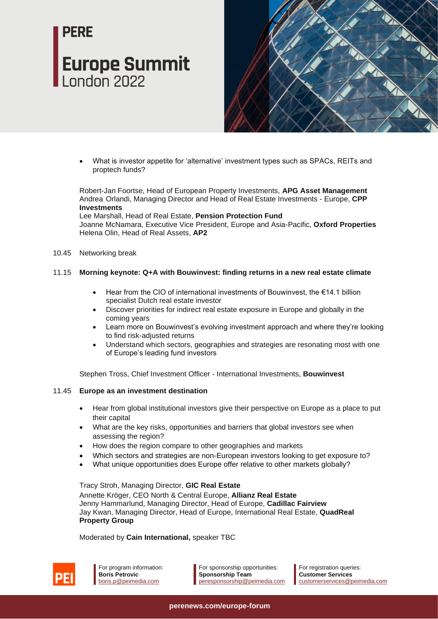

• What is investor appetite for 'alternative' investment types such as SPACs, REITs and proptech funds?

Robert-Jan Foortse, Head of European Property Investments, **APG Asset Management** Andrea Orlandi, Managing Director and Head of Real Estate Investments - Europe, **CPP Investments** 

Lee Marshall, Head of Real Estate, **Pension Protection Fund** Joanne McNamara, Executive Vice President, Europe and Asia-Pacific, **Oxford Properties** Helena Olin, Head of Real Assets, **AP2**

10.45 Networking break

#### 11.15 **Morning keynote: Q+A with Bouwinvest: finding returns in a new real estate climate**

- Hear from the CIO of international investments of Bouwinvest, the  $€14.1$  billion specialist Dutch real estate investor
- Discover priorities for indirect real estate exposure in Europe and globally in the coming years
- Learn more on Bouwinvest's evolving investment approach and where they're looking to find risk-adjusted returns
- Understand which sectors, geographies and strategies are resonating most with one of Europe's leading fund investors

Stephen Tross, Chief Investment Officer - International Investments, **Bouwinvest**

#### 11.45 **Europe as an investment destination**

- Hear from global institutional investors give their perspective on Europe as a place to put their capital
- What are the key risks, opportunities and barriers that global investors see when assessing the region?
- How does the region compare to other geographies and markets
- Which sectors and strategies are non-European investors looking to get exposure to?
- What unique opportunities does Europe offer relative to other markets globally?

Tracy Stroh, Managing Director, **GIC Real Estate**  Annette Kröger, CEO North & Central Europe, **Allianz Real Estate** Jenny Hammarlund, Managing Director, Head of Europe, **Cadillac Fairview** Jay Kwan, Managing Director, Head of Europe, International Real Estate, **QuadReal Property Group**

Moderated by **Cain International,** speaker TBC



For sponsorship opportunities: **Sponsorship Team** peresponsorship@peimedia.com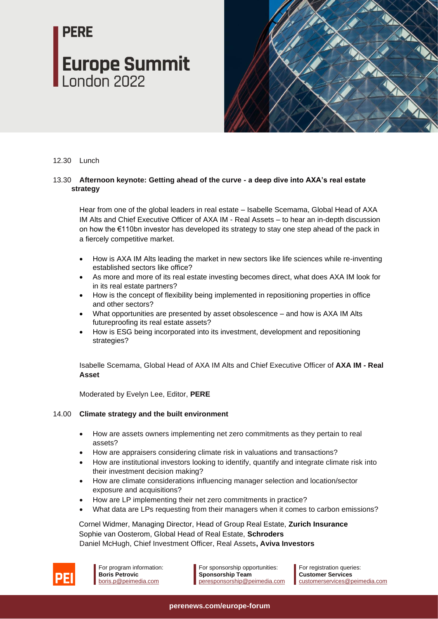

12.30 Lunch

#### 13.30 **Afternoon keynote: Getting ahead of the curve - a deep dive into AXA's real estate strategy**

Hear from one of the global leaders in real estate – Isabelle Scemama, Global Head of AXA IM Alts and Chief Executive Officer of AXA IM - Real Assets – to hear an in-depth discussion on how the €110bn investor has developed its strategy to stay one step ahead of the pack in a fiercely competitive market.

- How is AXA IM Alts leading the market in new sectors like life sciences while re-inventing established sectors like office?
- As more and more of its real estate investing becomes direct, what does AXA IM look for in its real estate partners?
- How is the concept of flexibility being implemented in repositioning properties in office and other sectors?
- What opportunities are presented by asset obsolescence and how is AXA IM Alts futureproofing its real estate assets?
- How is ESG being incorporated into its investment, development and repositioning strategies?

Isabelle Scemama, Global Head of AXA IM Alts and Chief Executive Officer of **AXA IM - Real Asset**

Moderated by Evelyn Lee, Editor, **PERE**

#### 14.00 **Climate strategy and the built environment**

- How are assets owners implementing net zero commitments as they pertain to real assets?
- How are appraisers considering climate risk in valuations and transactions?
- How are institutional investors looking to identify, quantify and integrate climate risk into their investment decision making?
- How are climate considerations influencing manager selection and location/sector exposure and acquisitions?
- How are LP implementing their net zero commitments in practice?
- What data are LPs requesting from their managers when it comes to carbon emissions?

Cornel Widmer, Managing Director, Head of Group Real Estate, **Zurich Insurance**  Sophie van Oosterom, Global Head of Real Estate, **Schroders** Daniel McHugh, Chief Investment Officer, Real Assets**, Aviva Investors**



For sponsorship opportunities: **Sponsorship Team** peresponsorship@peimedia.com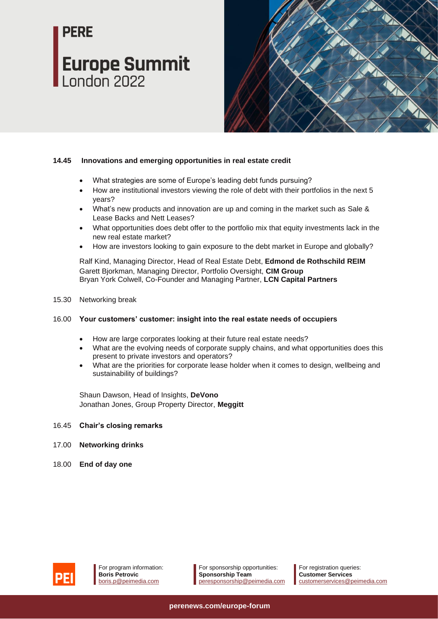

#### **14.45 Innovations and emerging opportunities in real estate credit**

- What strategies are some of Europe's leading debt funds pursuing?
- How are institutional investors viewing the role of debt with their portfolios in the next 5 years?
- What's new products and innovation are up and coming in the market such as Sale & Lease Backs and Nett Leases?
- What opportunities does debt offer to the portfolio mix that equity investments lack in the new real estate market?
- How are investors looking to gain exposure to the debt market in Europe and globally?

Ralf Kind, Managing Director, Head of Real Estate Debt, **Edmond de Rothschild REIM** Garett Bjorkman, Managing Director, Portfolio Oversight, **CIM Group**  Bryan York Colwell, Co-Founder and Managing Partner, **LCN Capital Partners**

#### 15.30 Networking break

#### 16.00 **Your customers' customer: insight into the real estate needs of occupiers**

- How are large corporates looking at their future real estate needs?
- What are the evolving needs of corporate supply chains, and what opportunities does this present to private investors and operators?
- What are the priorities for corporate lease holder when it comes to design, wellbeing and sustainability of buildings?

Shaun Dawson, Head of Insights, **DeVono** Jonathan Jones, Group Property Director, **Meggitt**

- 16.45 **Chair's closing remarks**
- 17.00 **Networking drinks**
- 18.00 **End of day one**



For sponsorship opportunities: **Sponsorship Team** peresponsorship@peimedia.com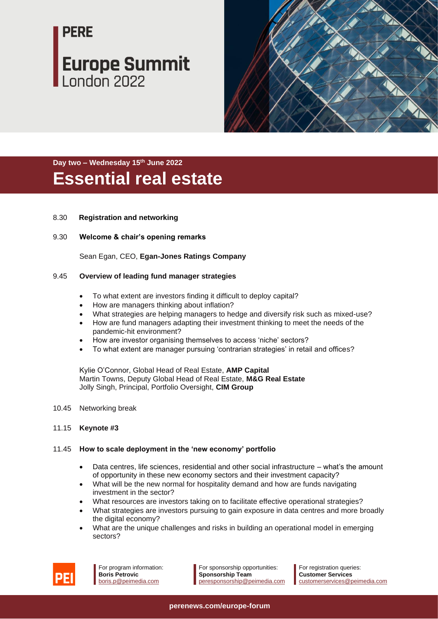



### **Day two – Wednesday 15th June 2022 Essential real estate**

- 8.30 **Registration and networking**
- 9.30 **Welcome & chair's opening remarks**

Sean Egan, CEO, **Egan-Jones Ratings Company**

#### 9.45 **Overview of leading fund manager strategies**

- To what extent are investors finding it difficult to deploy capital?
- How are managers thinking about inflation?
- What strategies are helping managers to hedge and diversify risk such as mixed-use?
- How are fund managers adapting their investment thinking to meet the needs of the pandemic-hit environment?
- How are investor organising themselves to access 'niche' sectors?
- To what extent are manager pursuing 'contrarian strategies' in retail and offices?

Kylie O'Connor, Global Head of Real Estate, **AMP Capital** Martin Towns, Deputy Global Head of Real Estate, **M&G Real Estate** Jolly Singh, Principal, Portfolio Oversight, **CIM Group** 

10.45 Networking break

#### 11.15 **Keynote #3**

#### 11.45 **How to scale deployment in the 'new economy' portfolio**

- Data centres, life sciences, residential and other social infrastructure what's the amount of opportunity in these new economy sectors and their investment capacity?
- What will be the new normal for hospitality demand and how are funds navigating investment in the sector?
- What resources are investors taking on to facilitate effective operational strategies?
- What strategies are investors pursuing to gain exposure in data centres and more broadly the digital economy?
- What are the unique challenges and risks in building an operational model in emerging sectors?



For program information: **Boris Petrovic** [boris.p@peimedia.com](mailto:boris.p@peimedia.com)

For sponsorship opportunities: **Sponsorship Team** peresponsorship@peimedia.com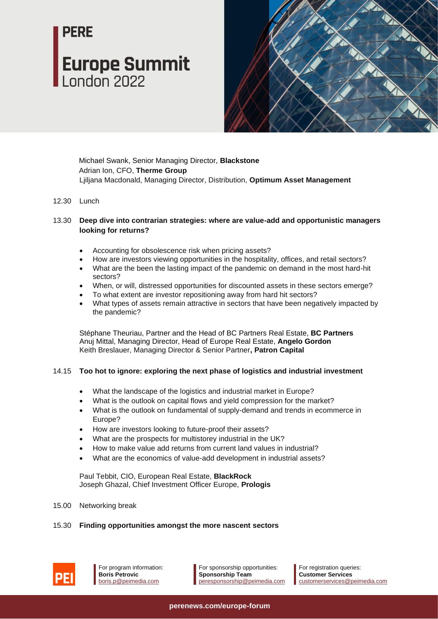

Michael Swank, Senior Managing Director, **Blackstone** Adrian Ion, CFO, **Therme Group** Ljiljana Macdonald, Managing Director, Distribution, **Optimum Asset Management**

#### 12.30 Lunch

#### 13.30 **Deep dive into contrarian strategies: where are value-add and opportunistic managers looking for returns?**

- Accounting for obsolescence risk when pricing assets?
- How are investors viewing opportunities in the hospitality, offices, and retail sectors?
- What are the been the lasting impact of the pandemic on demand in the most hard-hit sectors?
- When, or will, distressed opportunities for discounted assets in these sectors emerge?
- To what extent are investor repositioning away from hard hit sectors?
- What types of assets remain attractive in sectors that have been negatively impacted by the pandemic?

Stéphane Theuriau, Partner and the Head of BC Partners Real Estate, **BC Partners** Anuj Mittal, Managing Director, Head of Europe Real Estate, **Angelo Gordon** Keith Breslauer, Managing Director & Senior Partner**, Patron Capital** 

#### 14.15 **Too hot to ignore: exploring the next phase of logistics and industrial investment**

- What the landscape of the logistics and industrial market in Europe?
- What is the outlook on capital flows and yield compression for the market?
- What is the outlook on fundamental of supply-demand and trends in ecommerce in Europe?
- How are investors looking to future-proof their assets?
- What are the prospects for multistorey industrial in the UK?
- How to make value add returns from current land values in industrial?
- What are the economics of value-add development in industrial assets?

Paul Tebbit, CIO, European Real Estate, **BlackRock** Joseph Ghazal, Chief Investment Officer Europe, **Prologis**

15.00 Networking break

#### 15.30 **Finding opportunities amongst the more nascent sectors**



For program information: **Boris Petrovic** [boris.p@peimedia.com](mailto:boris.p@peimedia.com)

For sponsorship opportunities: **Sponsorship Team** peresponsorship@peimedia.com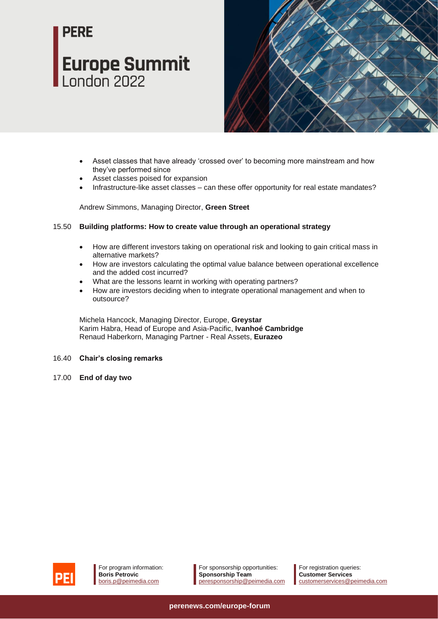

- Asset classes that have already 'crossed over' to becoming more mainstream and how they've performed since
- Asset classes poised for expansion
- Infrastructure-like asset classes can these offer opportunity for real estate mandates?

Andrew Simmons, Managing Director, **Green Street**

#### 15.50 **Building platforms: How to create value through an operational strategy**

- How are different investors taking on operational risk and looking to gain critical mass in alternative markets?
- How are investors calculating the optimal value balance between operational excellence and the added cost incurred?
- What are the lessons learnt in working with operating partners?
- How are investors deciding when to integrate operational management and when to outsource?

Michela Hancock, Managing Director, Europe, **Greystar** Karim Habra, Head of Europe and Asia-Pacific, **Ivanhoé Cambridge** Renaud Haberkorn, Managing Partner - Real Assets, **Eurazeo**

#### 16.40 **Chair's closing remarks**

17.00 **End of day two**



For sponsorship opportunities: **Sponsorship Team** peresponsorship@peimedia.com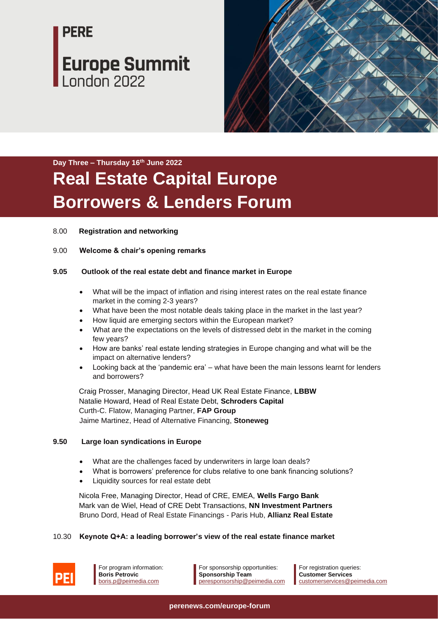



**Day Three – Thursday 16th June 2022**

## **Real Estate Capital Europe Borrowers & Lenders Forum**

#### 8.00 **Registration and networking**

9.00 **Welcome & chair's opening remarks**

#### **9.05 Outlook of the real estate debt and finance market in Europe**

- What will be the impact of inflation and rising interest rates on the real estate finance market in the coming 2-3 years?
- What have been the most notable deals taking place in the market in the last year?
- How liquid are emerging sectors within the European market?
- What are the expectations on the levels of distressed debt in the market in the coming few years?
- How are banks' real estate lending strategies in Europe changing and what will be the impact on alternative lenders?
- Looking back at the 'pandemic era' what have been the main lessons learnt for lenders and borrowers?

Craig Prosser, Managing Director, Head UK Real Estate Finance, **LBBW** Natalie Howard, Head of Real Estate Debt, **Schroders Capital** Curth-C. Flatow, Managing Partner, **FAP Group** Jaime Martinez, Head of Alternative Financing, **Stoneweg**

#### **9.50 Large loan syndications in Europe**

- What are the challenges faced by underwriters in large loan deals?
- What is borrowers' preference for clubs relative to one bank financing solutions?
- Liquidity sources for real estate debt

Nicola Free, Managing Director, Head of CRE, EMEA, **Wells Fargo Bank** Mark van de Wiel, Head of CRE Debt Transactions, **NN Investment Partners** Bruno Dord, Head of Real Estate Financings - Paris Hub, **Allianz Real Estate**

#### 10.30 **Keynote Q+A: a leading borrower's view of the real estate finance market**



For program information: **Boris Petrovic** [boris.p@peimedia.com](mailto:boris.p@peimedia.com)

For sponsorship opportunities: **Sponsorship Team** peresponsorship@peimedia.com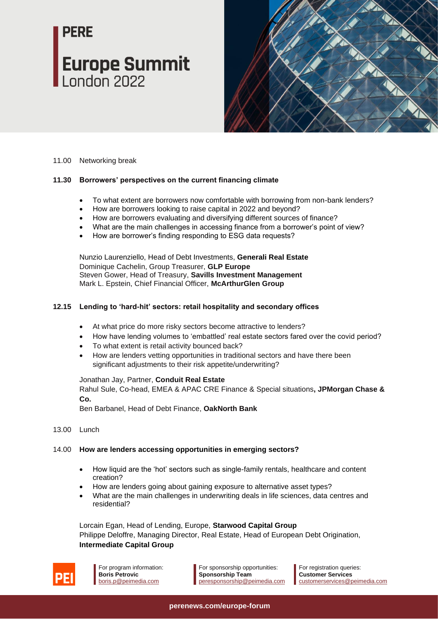

#### 11.00 Networking break

#### **11.30 Borrowers' perspectives on the current financing climate**

- To what extent are borrowers now comfortable with borrowing from non-bank lenders?
- How are borrowers looking to raise capital in 2022 and beyond?
- How are borrowers evaluating and diversifying different sources of finance?
- What are the main challenges in accessing finance from a borrower's point of view?
- How are borrower's finding responding to ESG data requests?

Nunzio Laurenziello, Head of Debt Investments, **Generali Real Estate** Dominique Cachelin, Group Treasurer, **GLP Europe** Steven Gower, Head of Treasury, **Savills Investment Management** Mark L. Epstein, Chief Financial Officer, **McArthurGlen Group**

#### **12.15 Lending to 'hard-hit' sectors: retail hospitality and secondary offices**

- At what price do more risky sectors become attractive to lenders?
- How have lending volumes to 'embattled' real estate sectors fared over the covid period?
- To what extent is retail activity bounced back?
- How are lenders vetting opportunities in traditional sectors and have there been significant adjustments to their risk appetite/underwriting?

#### Jonathan Jay, Partner, **Conduit Real Estate**

Rahul Sule, Co-head, EMEA & APAC CRE Finance & Special situations**, JPMorgan Chase & Co.**

Ben Barbanel, Head of Debt Finance, **OakNorth Bank**

13.00 Lunch

#### 14.00 **How are lenders accessing opportunities in emerging sectors?**

- How liquid are the 'hot' sectors such as single-family rentals, healthcare and content creation?
- How are lenders going about gaining exposure to alternative asset types?
- What are the main challenges in underwriting deals in life sciences, data centres and residential?

Lorcain Egan, Head of Lending, Europe, **Starwood Capital Group** Philippe Deloffre, Managing Director, Real Estate, Head of European Debt Origination, **Intermediate Capital Group**



For program information: **Boris Petrovic** [boris.p@peimedia.com](mailto:boris.p@peimedia.com)

For sponsorship opportunities: **Sponsorship Team** peresponsorship@peimedia.com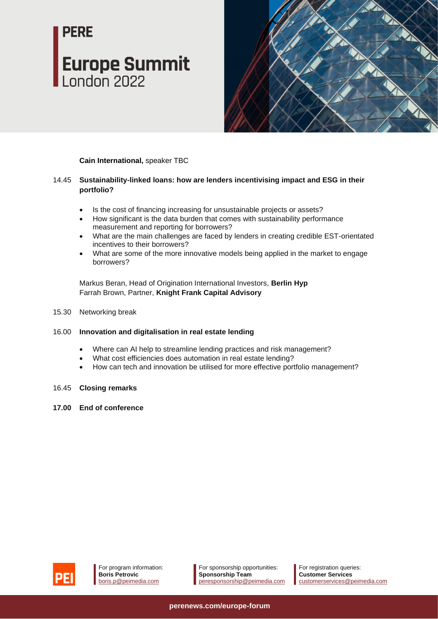

#### **Cain International,** speaker TBC

#### 14.45 **Sustainability-linked loans: how are lenders incentivising impact and ESG in their portfolio?**

- Is the cost of financing increasing for unsustainable projects or assets?
- How significant is the data burden that comes with sustainability performance measurement and reporting for borrowers?
- What are the main challenges are faced by lenders in creating credible EST-orientated incentives to their borrowers?
- What are some of the more innovative models being applied in the market to engage borrowers?

Markus Beran, Head of Origination International Investors, **Berlin Hyp** Farrah Brown, Partner, **Knight Frank Capital Advisory**

15.30 Networking break

#### 16.00 **Innovation and digitalisation in real estate lending**

- Where can AI help to streamline lending practices and risk management?
- What cost efficiencies does automation in real estate lending?
- How can tech and innovation be utilised for more effective portfolio management?
- 16.45 **Closing remarks**
- **17.00 End of conference**

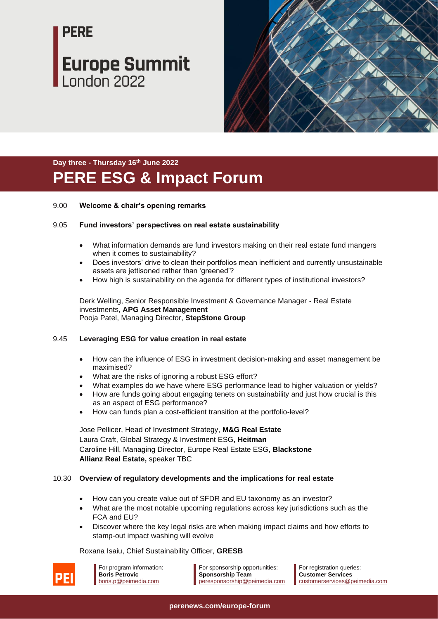

### **Day three - Thursday 16th June 2022 PERE ESG & Impact Forum**

#### 9.00 **Welcome & chair's opening remarks**

#### 9.05 **Fund investors' perspectives on real estate sustainability**

- What information demands are fund investors making on their real estate fund mangers when it comes to sustainability?
- Does investors' drive to clean their portfolios mean inefficient and currently unsustainable assets are jettisoned rather than 'greened'?
- How high is sustainability on the agenda for different types of institutional investors?

Derk Welling, Senior Responsible Investment & Governance Manager - Real Estate investments, **APG Asset Management** Pooja Patel, Managing Director, **StepStone Group**

#### 9.45 **Leveraging ESG for value creation in real estate**

- How can the influence of ESG in investment decision-making and asset management be maximised?
- What are the risks of ignoring a robust ESG effort?
- What examples do we have where ESG performance lead to higher valuation or yields?
- How are funds going about engaging tenets on sustainability and just how crucial is this as an aspect of ESG performance?
- How can funds plan a cost-efficient transition at the portfolio-level?

Jose Pellicer, Head of Investment Strategy, **M&G Real Estate** Laura Craft, Global Strategy & Investment ESG**, Heitman** Caroline Hill, Managing Director, Europe Real Estate ESG, **Blackstone Allianz Real Estate,** speaker TBC

#### 10.30 **Overview of regulatory developments and the implications for real estate**

- How can you create value out of SFDR and EU taxonomy as an investor?
- What are the most notable upcoming regulations across key jurisdictions such as the FCA and EU?
- Discover where the key legal risks are when making impact claims and how efforts to stamp-out impact washing will evolve

#### Roxana Isaiu, Chief Sustainability Officer, **GRESB**



For program information: **Boris Petrovic** [boris.p@peimedia.com](mailto:boris.p@peimedia.com)

For sponsorship opportunities: **Sponsorship Team** peresponsorship@peimedia.com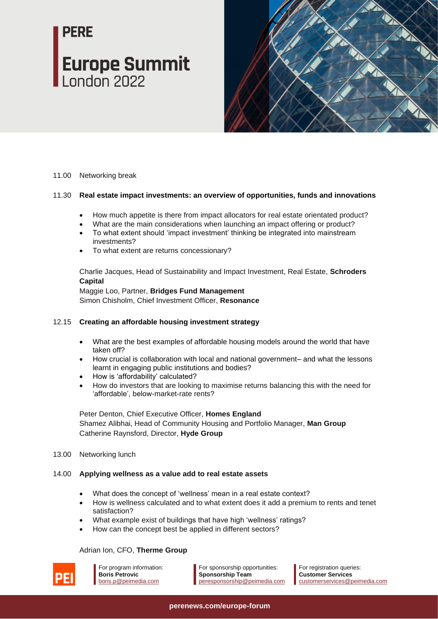

#### 11.00 Networking break

#### 11.30 **Real estate impact investments: an overview of opportunities, funds and innovations**

- How much appetite is there from impact allocators for real estate orientated product?
- What are the main considerations when launching an impact offering or product?
- To what extent should 'impact investment' thinking be integrated into mainstream investments?
- To what extent are returns concessionary?

Charlie Jacques, Head of Sustainability and Impact Investment, Real Estate, **Schroders Capital**

Maggie Loo, Partner, **Bridges Fund Management**

Simon Chisholm, Chief Investment Officer, **Resonance**

#### 12.15 **Creating an affordable housing investment strategy**

- What are the best examples of affordable housing models around the world that have taken off?
- How crucial is collaboration with local and national government– and what the lessons learnt in engaging public institutions and bodies?
- How is 'affordability' calculated?
- How do investors that are looking to maximise returns balancing this with the need for 'affordable', below-market-rate rents?

Peter Denton, Chief Executive Officer, **Homes England** Shamez Alibhai, Head of Community Housing and Portfolio Manager, **Man Group** Catherine Raynsford, Director, **Hyde Group** 

13.00 Networking lunch

#### 14.00 **Applying wellness as a value add to real estate assets**

- What does the concept of 'wellness' mean in a real estate context?
- How is wellness calculated and to what extent does it add a premium to rents and tenet satisfaction?
- What example exist of buildings that have high 'wellness' ratings?
- How can the concept best be applied in different sectors?

#### Adrian Ion, CFO, **Therme Group**



For program information: **Boris Petrovic** [boris.p@peimedia.com](mailto:boris.p@peimedia.com)

For sponsorship opportunities: **Sponsorship Team** peresponsorship@peimedia.com